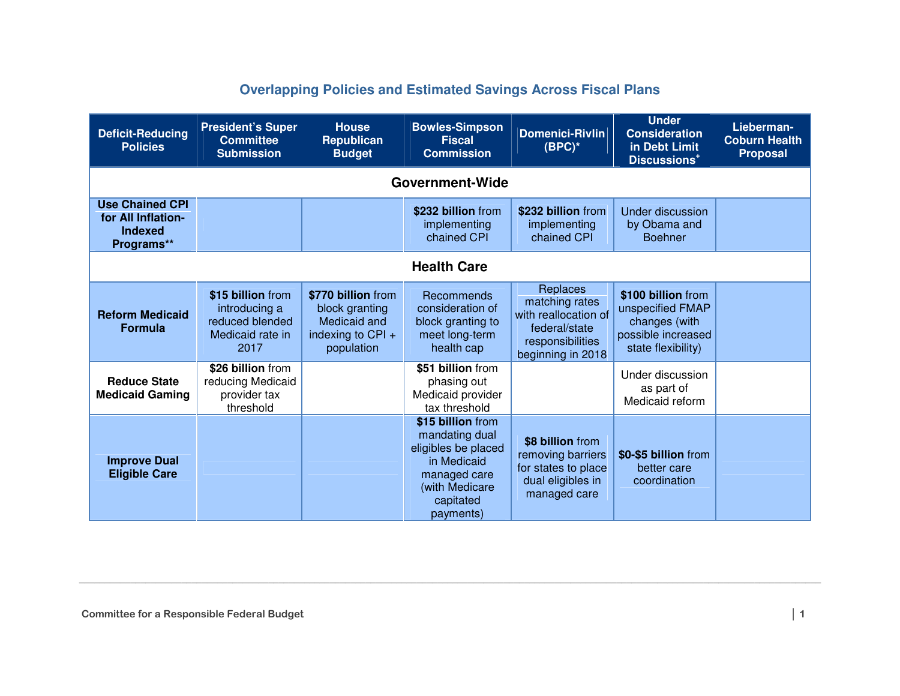## **Overlapping Policies and Estimated Savings Across Fiscal Plans**

| <b>Deficit-Reducing</b><br><b>Policies</b>                                   | <b>President's Super</b><br><b>Committee</b><br><b>Submission</b>                 | <b>House</b><br><b>Republican</b><br><b>Budget</b>                                      | <b>Bowles-Simpson</b><br><b>Fiscal</b><br><b>Commission</b>                                                                           | <b>Domenici-Rivlin</b><br>$(BPC)^*$                                                                          | <b>Under</b><br><b>Consideration</b><br>in Debt Limit<br>Discussions <sup>+</sup>                   | Lieberman-<br><b>Coburn Health</b><br><b>Proposal</b> |
|------------------------------------------------------------------------------|-----------------------------------------------------------------------------------|-----------------------------------------------------------------------------------------|---------------------------------------------------------------------------------------------------------------------------------------|--------------------------------------------------------------------------------------------------------------|-----------------------------------------------------------------------------------------------------|-------------------------------------------------------|
|                                                                              |                                                                                   |                                                                                         | <b>Government-Wide</b>                                                                                                                |                                                                                                              |                                                                                                     |                                                       |
| <b>Use Chained CPI</b><br>for All Inflation-<br><b>Indexed</b><br>Programs** |                                                                                   |                                                                                         | \$232 billion from<br>implementing<br>chained CPI                                                                                     | \$232 billion from<br>implementing<br>chained CPI                                                            | <b>Under discussion</b><br>by Obama and<br><b>Boehner</b>                                           |                                                       |
|                                                                              |                                                                                   |                                                                                         | <b>Health Care</b>                                                                                                                    |                                                                                                              |                                                                                                     |                                                       |
| <b>Reform Medicaid</b><br><b>Formula</b>                                     | \$15 billion from<br>introducing a<br>reduced blended<br>Medicaid rate in<br>2017 | \$770 billion from<br>block granting<br>Medicaid and<br>indexing to CPI +<br>population | Recommends<br>consideration of<br>block granting to<br>meet long-term<br>health cap                                                   | Replaces<br>matching rates<br>with reallocation of<br>federal/state<br>responsibilities<br>beginning in 2018 | \$100 billion from<br>unspecified FMAP<br>changes (with<br>possible increased<br>state flexibility) |                                                       |
| <b>Reduce State</b><br><b>Medicaid Gaming</b>                                | \$26 billion from<br>reducing Medicaid<br>provider tax<br>threshold               |                                                                                         | \$51 billion from<br>phasing out<br>Medicaid provider<br>tax threshold                                                                |                                                                                                              | Under discussion<br>as part of<br>Medicaid reform                                                   |                                                       |
| <b>Improve Dual</b><br><b>Eligible Care</b>                                  |                                                                                   |                                                                                         | \$15 billion from<br>mandating dual<br>eligibles be placed<br>in Medicaid<br>managed care<br>(with Medicare<br>capitated<br>payments) | \$8 billion from<br>removing barriers<br>for states to place<br>dual eligibles in<br>managed care            | \$0-\$5 billion from<br>better care<br>coordination                                                 |                                                       |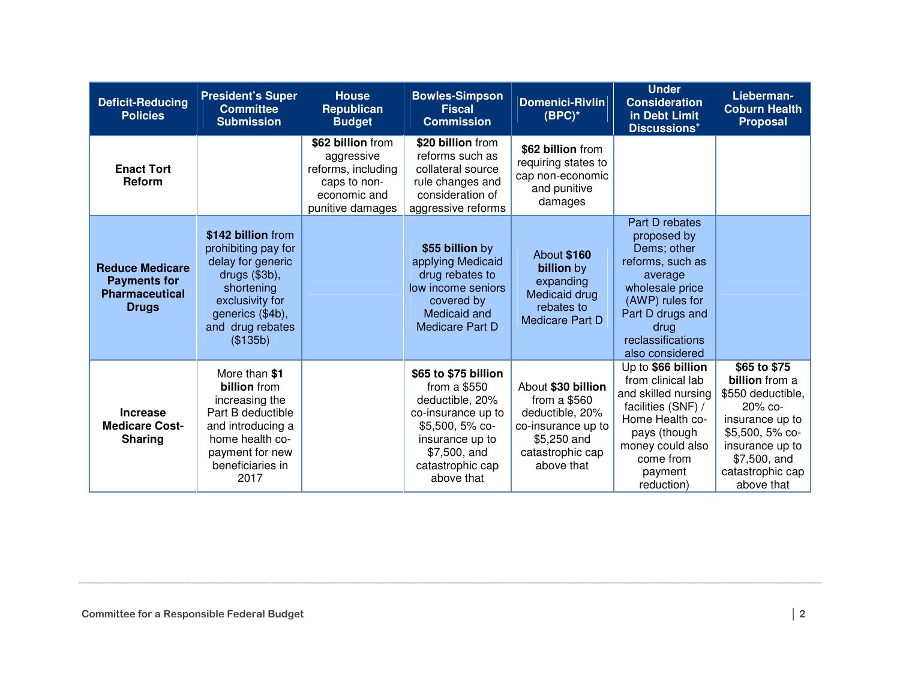| <b>Deficit-Reducing</b><br><b>Policies</b>                                             | <b>President's Super</b><br><b>Committee</b><br><b>Submission</b>                                                                                                    | <b>House</b><br><b>Republican</b><br><b>Budget</b>                                                        | <b>Bowles-Simpson</b><br><b>Fiscal</b><br><b>Commission</b>                                                                                                            | <b>Domenici-Rivlin</b><br>$(BPC)^*$                                                                                           | <b>Under</b><br><b>Consideration</b><br>in Debt Limit<br>Discussions <sup>+</sup>                                                                                                     | Lieberman-<br><b>Coburn Health</b><br><b>Proposal</b>                                                                                                                        |
|----------------------------------------------------------------------------------------|----------------------------------------------------------------------------------------------------------------------------------------------------------------------|-----------------------------------------------------------------------------------------------------------|------------------------------------------------------------------------------------------------------------------------------------------------------------------------|-------------------------------------------------------------------------------------------------------------------------------|---------------------------------------------------------------------------------------------------------------------------------------------------------------------------------------|------------------------------------------------------------------------------------------------------------------------------------------------------------------------------|
| <b>Enact Tort</b><br>Reform                                                            |                                                                                                                                                                      | \$62 billion from<br>aggressive<br>reforms, including<br>caps to non-<br>economic and<br>punitive damages | \$20 billion from<br>reforms such as<br>collateral source<br>rule changes and<br>consideration of<br>aggressive reforms                                                | \$62 billion from<br>requiring states to<br>cap non-economic<br>and punitive<br>damages                                       |                                                                                                                                                                                       |                                                                                                                                                                              |
| <b>Reduce Medicare</b><br><b>Payments for</b><br><b>Pharmaceutical</b><br><b>Drugs</b> | \$142 billion from<br>prohibiting pay for<br>delay for generic<br>drugs (\$3b),<br>shortening<br>exclusivity for<br>generics (\$4b),<br>and drug rebates<br>(\$135b) |                                                                                                           | \$55 billion by<br>applying Medicaid<br>drug rebates to<br>low income seniors<br>covered by<br>Medicaid and<br>Medicare Part D                                         | <b>About \$160</b><br><b>billion</b> by<br>expanding<br>Medicaid drug<br>rebates to<br>Medicare Part D                        | Part D rebates<br>proposed by<br>Dems; other<br>reforms, such as<br>average<br>wholesale price<br>(AWP) rules for<br>Part D drugs and<br>drug<br>reclassifications<br>also considered |                                                                                                                                                                              |
| <b>Increase</b><br><b>Medicare Cost-</b><br><b>Sharing</b>                             | More than \$1<br><b>billion</b> from<br>increasing the<br>Part B deductible<br>and introducing a<br>home health co-<br>payment for new<br>beneficiaries in<br>2017   |                                                                                                           | \$65 to \$75 billion<br>from a \$550<br>deductible, 20%<br>co-insurance up to<br>$$5,500, 5%$ co-<br>insurance up to<br>\$7,500, and<br>catastrophic cap<br>above that | About \$30 billion<br>from a $$560$<br>deductible, 20%<br>co-insurance up to<br>\$5,250 and<br>catastrophic cap<br>above that | Up to \$66 billion<br>from clinical lab<br>and skilled nursing<br>facilities (SNF) /<br>Home Health co-<br>pays (though<br>money could also<br>come from<br>payment<br>reduction)     | \$65 to \$75<br>billion from a<br>\$550 deductible,<br>$20\%$ co-<br>insurance up to<br>\$5,500, 5% co-<br>insurance up to<br>\$7,500, and<br>catastrophic cap<br>above that |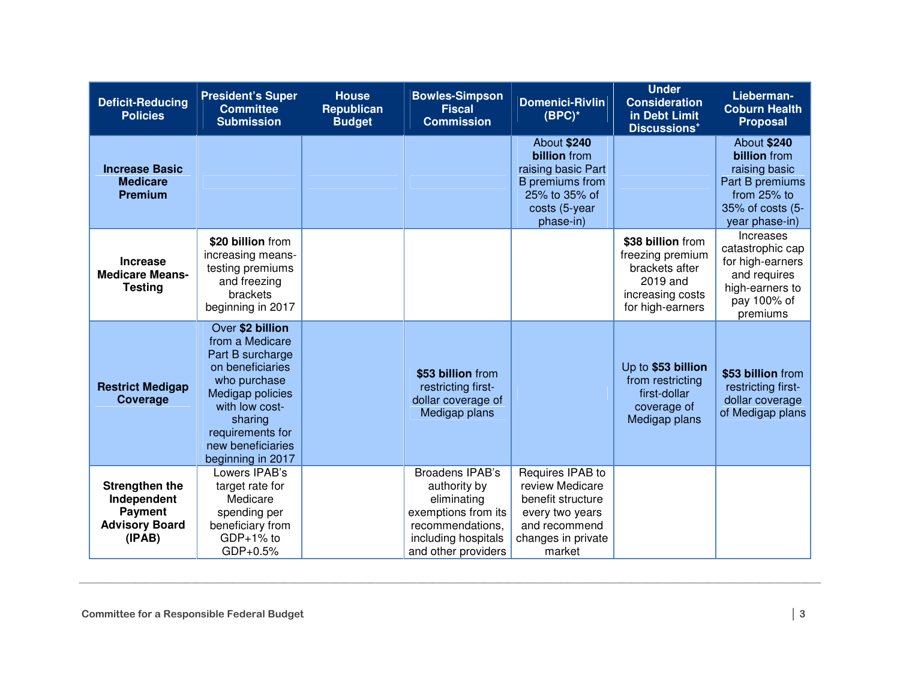| <b>Deficit-Reducing</b><br><b>Policies</b>                                                | <b>President's Super</b><br><b>Committee</b><br><b>Submission</b>                                                                                                                                                 | <b>House</b><br><b>Republican</b><br><b>Budget</b> | <b>Bowles-Simpson</b><br><b>Fiscal</b><br><b>Commission</b>                                                                                    | <b>Domenici-Rivlin</b><br>$(BPC)^*$                                                                                          | <b>Under</b><br><b>Consideration</b><br>in Debt Limit<br>Discussions <sup>+</sup>                           | Lieberman-<br><b>Coburn Health</b><br><b>Proposal</b>                                                                       |
|-------------------------------------------------------------------------------------------|-------------------------------------------------------------------------------------------------------------------------------------------------------------------------------------------------------------------|----------------------------------------------------|------------------------------------------------------------------------------------------------------------------------------------------------|------------------------------------------------------------------------------------------------------------------------------|-------------------------------------------------------------------------------------------------------------|-----------------------------------------------------------------------------------------------------------------------------|
| <b>Increase Basic</b><br><b>Medicare</b><br><b>Premium</b>                                |                                                                                                                                                                                                                   |                                                    |                                                                                                                                                | About \$240<br><b>billion</b> from<br>raising basic Part<br>B premiums from<br>25% to 35% of<br>costs (5-year<br>phase-in)   |                                                                                                             | About \$240<br><b>billion</b> from<br>raising basic<br>Part B premiums<br>from 25% to<br>35% of costs (5-<br>year phase-in) |
| <b>Increase</b><br><b>Medicare Means-</b><br><b>Testing</b>                               | \$20 billion from<br>increasing means-<br>testing premiums<br>and freezing<br>brackets<br>beginning in 2017                                                                                                       |                                                    |                                                                                                                                                |                                                                                                                              | \$38 billion from<br>freezing premium<br>brackets after<br>2019 and<br>increasing costs<br>for high-earners | <b>Increases</b><br>catastrophic cap<br>for high-earners<br>and requires<br>high-earners to<br>pay 100% of<br>premiums      |
| <b>Restrict Medigap</b><br>Coverage                                                       | Over \$2 billion<br>from a Medicare<br>Part B surcharge<br>on beneficiaries<br>who purchase<br><b>Medigap policies</b><br>with low cost-<br>sharing<br>requirements for<br>new beneficiaries<br>beginning in 2017 |                                                    | \$53 billion from<br>restricting first-<br>dollar coverage of<br>Medigap plans                                                                 |                                                                                                                              | Up to \$53 billion<br>from restricting<br>first-dollar<br>coverage of<br>Medigap plans                      | \$53 billion from<br>restricting first-<br>dollar coverage<br>of Medigap plans                                              |
| <b>Strengthen the</b><br>Independent<br><b>Payment</b><br><b>Advisory Board</b><br>(IPAB) | Lowers IPAB's<br>target rate for<br>Medicare<br>spending per<br>beneficiary from<br>$GDP+1\%$ to<br>GDP+0.5%                                                                                                      |                                                    | <b>Broadens IPAB's</b><br>authority by<br>eliminating<br>exemptions from its<br>recommendations.<br>including hospitals<br>and other providers | Requires IPAB to<br>review Medicare<br>benefit structure<br>every two years<br>and recommend<br>changes in private<br>market |                                                                                                             |                                                                                                                             |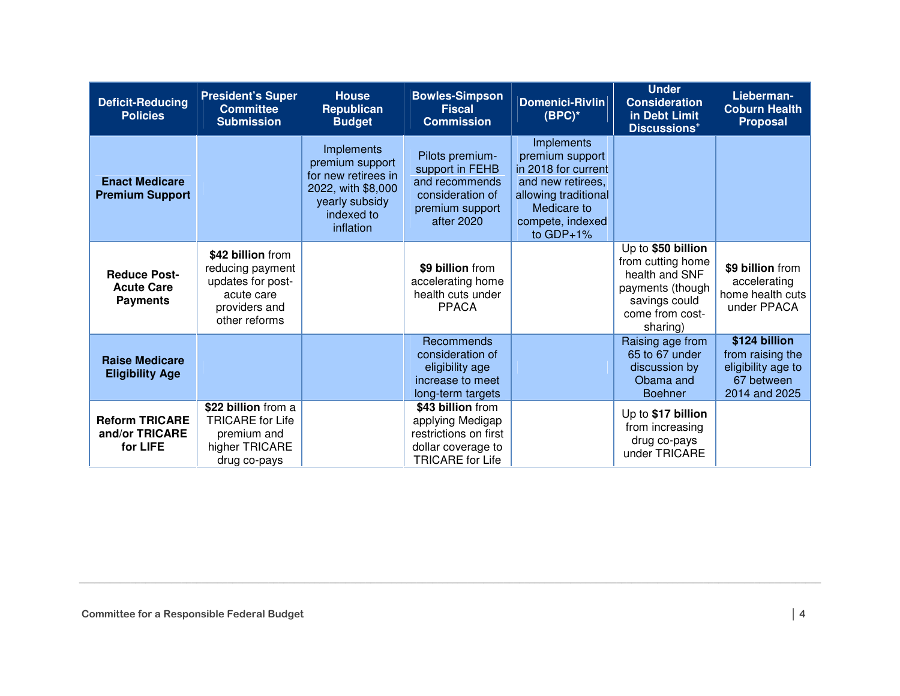| <b>Deficit-Reducing</b><br><b>Policies</b>                  | <b>President's Super</b><br><b>Committee</b><br><b>Submission</b>                                          | <b>House</b><br>Republican<br><b>Budget</b>                                                                                    | <b>Bowles-Simpson</b><br><b>Fiscal</b><br><b>Commission</b>                                                     | <b>Domenici-Rivlin</b><br>$(BPC)^*$                                                                                                                 | <b>Under</b><br><b>Consideration</b><br>in Debt Limit<br>Discussions <sup>+</sup>                                             | Lieberman-<br><b>Coburn Health</b><br><b>Proposal</b>                                  |
|-------------------------------------------------------------|------------------------------------------------------------------------------------------------------------|--------------------------------------------------------------------------------------------------------------------------------|-----------------------------------------------------------------------------------------------------------------|-----------------------------------------------------------------------------------------------------------------------------------------------------|-------------------------------------------------------------------------------------------------------------------------------|----------------------------------------------------------------------------------------|
| <b>Enact Medicare</b><br><b>Premium Support</b>             |                                                                                                            | <b>Implements</b><br>premium support<br>for new retirees in<br>2022, with \$8,000<br>yearly subsidy<br>indexed to<br>inflation | Pilots premium-<br>support in FEHB<br>and recommends<br>consideration of<br>premium support<br>after 2020       | Implements<br>premium support<br>in 2018 for current<br>and new retirees,<br>allowing traditional<br>Medicare to<br>compete, indexed<br>to $GDP+1%$ |                                                                                                                               |                                                                                        |
| <b>Reduce Post-</b><br><b>Acute Care</b><br><b>Payments</b> | \$42 billion from<br>reducing payment<br>updates for post-<br>acute care<br>providers and<br>other reforms |                                                                                                                                | \$9 billion from<br>accelerating home<br>health cuts under<br><b>PPACA</b>                                      |                                                                                                                                                     | Up to \$50 billion<br>from cutting home<br>health and SNF<br>payments (though<br>savings could<br>come from cost-<br>sharing) | \$9 billion from<br>accelerating<br>home health cuts<br>under PPACA                    |
| <b>Raise Medicare</b><br><b>Eligibility Age</b>             |                                                                                                            |                                                                                                                                | Recommends<br>consideration of<br>eligibility age<br>increase to meet<br>long-term targets                      |                                                                                                                                                     | Raising age from<br>65 to 67 under<br>discussion by<br>Obama and<br><b>Boehner</b>                                            | \$124 billion<br>from raising the<br>eligibility age to<br>67 between<br>2014 and 2025 |
| <b>Reform TRICARE</b><br>and/or TRICARE<br>for LIFE         | \$22 billion from a<br><b>TRICARE for Life</b><br>premium and<br>higher TRICARE<br>drug co-pays            |                                                                                                                                | \$43 billion from<br>applying Medigap<br>restrictions on first<br>dollar coverage to<br><b>TRICARE</b> for Life |                                                                                                                                                     | Up to \$17 billion<br>from increasing<br>drug co-pays<br>under TRICARE                                                        |                                                                                        |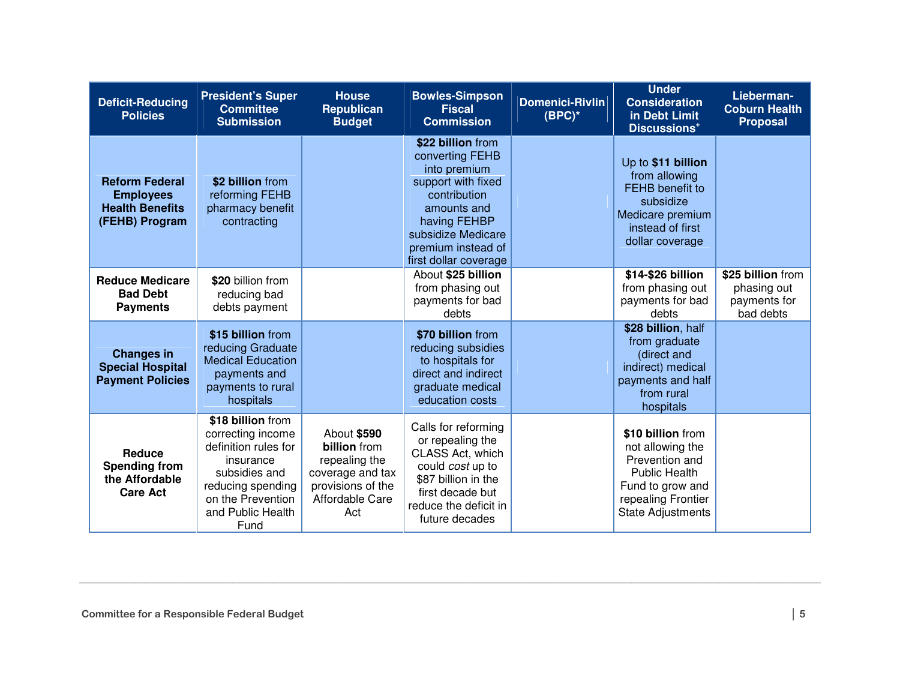| <b>Deficit-Reducing</b><br><b>Policies</b>                                            | <b>President's Super</b><br><b>Committee</b><br><b>Submission</b>                                                                                                   | <b>House</b><br><b>Republican</b><br><b>Budget</b>                                                                     | <b>Bowles-Simpson</b><br><b>Fiscal</b><br><b>Commission</b>                                                                                                                                    | <b>Domenici-Rivlin</b><br>$(BPC)^*$ | <b>Under</b><br><b>Consideration</b><br>in Debt Limit<br>Discussions <sup>+</sup>                                                                     | Lieberman-<br><b>Coburn Health</b><br><b>Proposal</b>         |
|---------------------------------------------------------------------------------------|---------------------------------------------------------------------------------------------------------------------------------------------------------------------|------------------------------------------------------------------------------------------------------------------------|------------------------------------------------------------------------------------------------------------------------------------------------------------------------------------------------|-------------------------------------|-------------------------------------------------------------------------------------------------------------------------------------------------------|---------------------------------------------------------------|
| <b>Reform Federal</b><br><b>Employees</b><br><b>Health Benefits</b><br>(FEHB) Program | \$2 billion from<br>reforming FEHB<br>pharmacy benefit<br>contracting                                                                                               |                                                                                                                        | \$22 billion from<br>converting FEHB<br>into premium<br>support with fixed<br>contribution<br>amounts and<br>having FEHBP<br>subsidize Medicare<br>premium instead of<br>first dollar coverage |                                     | Up to \$11 billion<br>from allowing<br><b>FEHB</b> benefit to<br>subsidize<br>Medicare premium<br>instead of first<br>dollar coverage                 |                                                               |
| <b>Reduce Medicare</b><br><b>Bad Debt</b><br><b>Payments</b>                          | \$20 billion from<br>reducing bad<br>debts payment                                                                                                                  |                                                                                                                        | About \$25 billion<br>from phasing out<br>payments for bad<br>debts                                                                                                                            |                                     | \$14-\$26 billion<br>from phasing out<br>payments for bad<br>debts                                                                                    | \$25 billion from<br>phasing out<br>payments for<br>bad debts |
| <b>Changes in</b><br><b>Special Hospital</b><br><b>Payment Policies</b>               | \$15 billion from<br>reducing Graduate<br><b>Medical Education</b><br>payments and<br>payments to rural<br>hospitals                                                |                                                                                                                        | \$70 billion from<br>reducing subsidies<br>to hospitals for<br>direct and indirect<br>graduate medical<br>education costs                                                                      |                                     | \$28 billion, half<br>from graduate<br>(direct and<br>indirect) medical<br>payments and half<br>from rural<br>hospitals                               |                                                               |
| Reduce<br><b>Spending from</b><br>the Affordable<br><b>Care Act</b>                   | \$18 billion from<br>correcting income<br>definition rules for<br>insurance<br>subsidies and<br>reducing spending<br>on the Prevention<br>and Public Health<br>Fund | About \$590<br><b>billion</b> from<br>repealing the<br>coverage and tax<br>provisions of the<br>Affordable Care<br>Act | Calls for reforming<br>or repealing the<br>CLASS Act, which<br>could cost up to<br>\$87 billion in the<br>first decade but<br>reduce the deficit in<br>future decades                          |                                     | \$10 billion from<br>not allowing the<br>Prevention and<br><b>Public Health</b><br>Fund to grow and<br>repealing Frontier<br><b>State Adjustments</b> |                                                               |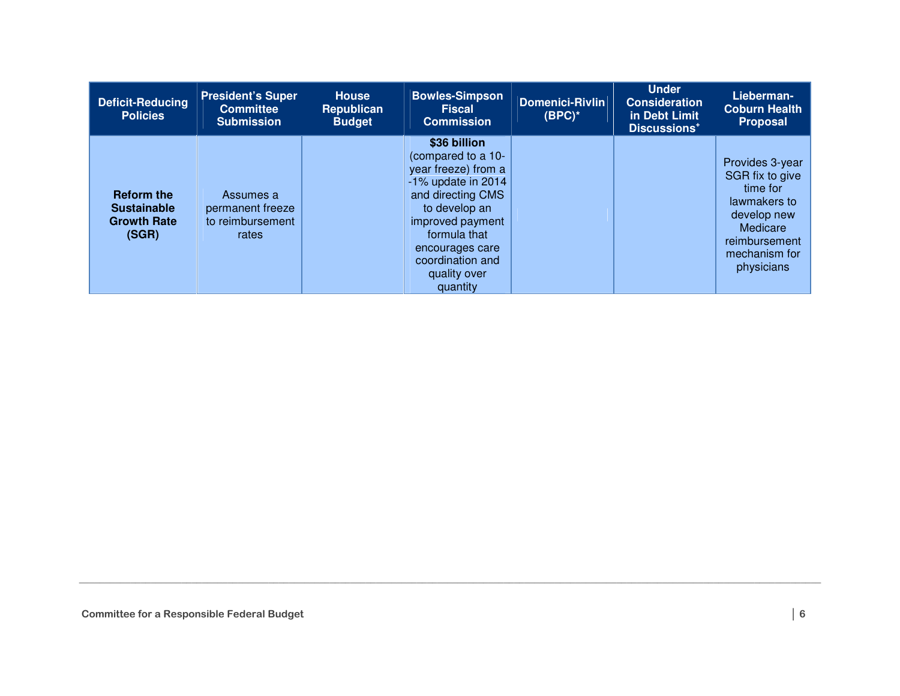| <b>Deficit-Reducing</b><br><b>Policies</b>                             | <b>President's Super</b><br><b>Committee</b><br><b>Submission</b> | <b>House</b><br><b>Republican</b><br><b>Budget</b> | <b>Bowles-Simpson</b><br><b>Fiscal</b><br><b>Commission</b>                                                                                                                                                                     | Domenici-Rivlin<br>$(BPC)^*$ | <b>Under</b><br><b>Consideration</b><br>in Debt Limit<br>Discussions <sup>+</sup> | Lieberman-<br><b>Coburn Health</b><br><b>Proposal</b>                                                                                     |
|------------------------------------------------------------------------|-------------------------------------------------------------------|----------------------------------------------------|---------------------------------------------------------------------------------------------------------------------------------------------------------------------------------------------------------------------------------|------------------------------|-----------------------------------------------------------------------------------|-------------------------------------------------------------------------------------------------------------------------------------------|
| <b>Reform the</b><br><b>Sustainable</b><br><b>Growth Rate</b><br>(SGR) | Assumes a<br>permanent freeze<br>to reimbursement<br>rates        |                                                    | \$36 billion<br>(compared to a 10-<br>year freeze) from a<br>$-1\%$ update in 2014<br>and directing CMS<br>to develop an<br>improved payment<br>formula that<br>encourages care<br>coordination and<br>quality over<br>quantity |                              |                                                                                   | Provides 3-year<br>SGR fix to give<br>time for<br>lawmakers to<br>develop new<br>Medicare<br>reimbursement<br>mechanism for<br>physicians |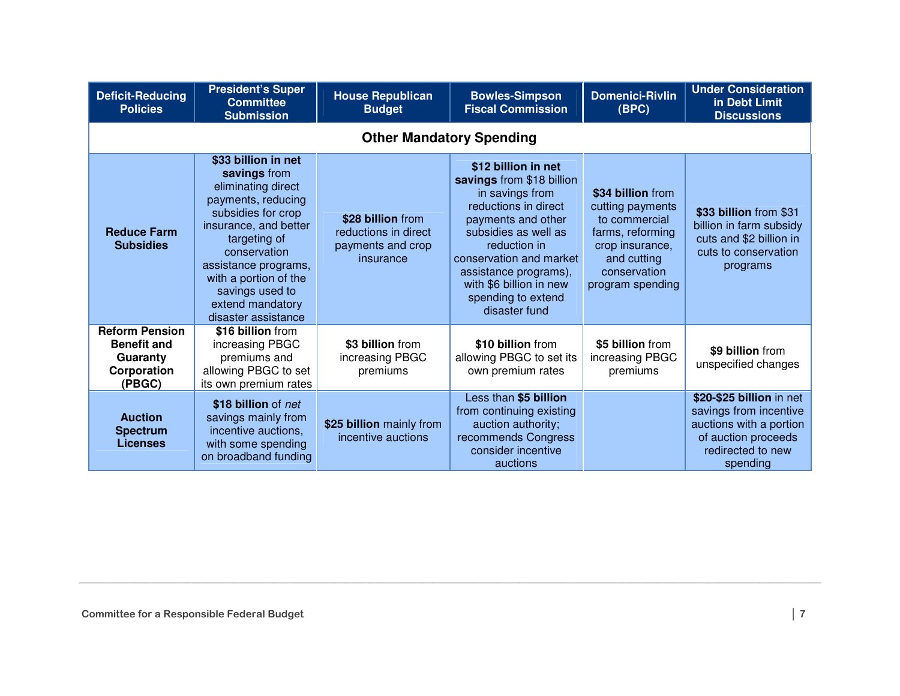| <b>Deficit-Reducing</b><br><b>Policies</b>                                       | <b>President's Super</b><br><b>Committee</b><br><b>Submission</b>                                                                                                                                                                                                             | <b>House Republican</b><br><b>Budget</b>                                    | <b>Bowles-Simpson</b><br><b>Fiscal Commission</b>                                                                                                                                                                                                                               | <b>Domenici-Rivlin</b><br>(BPC)                                                                                                                  | <b>Under Consideration</b><br>in Debt Limit<br><b>Discussions</b>                                                                     |
|----------------------------------------------------------------------------------|-------------------------------------------------------------------------------------------------------------------------------------------------------------------------------------------------------------------------------------------------------------------------------|-----------------------------------------------------------------------------|---------------------------------------------------------------------------------------------------------------------------------------------------------------------------------------------------------------------------------------------------------------------------------|--------------------------------------------------------------------------------------------------------------------------------------------------|---------------------------------------------------------------------------------------------------------------------------------------|
|                                                                                  |                                                                                                                                                                                                                                                                               | <b>Other Mandatory Spending</b>                                             |                                                                                                                                                                                                                                                                                 |                                                                                                                                                  |                                                                                                                                       |
| <b>Reduce Farm</b><br><b>Subsidies</b>                                           | \$33 billion in net<br>savings from<br>eliminating direct<br>payments, reducing<br>subsidies for crop<br>insurance, and better<br>targeting of<br>conservation<br>assistance programs,<br>with a portion of the<br>savings used to<br>extend mandatory<br>disaster assistance | \$28 billion from<br>reductions in direct<br>payments and crop<br>insurance | \$12 billion in net<br>savings from \$18 billion<br>in savings from<br>reductions in direct<br>payments and other<br>subsidies as well as<br>reduction in<br>conservation and market<br>assistance programs),<br>with \$6 billion in new<br>spending to extend<br>disaster fund | \$34 billion from<br>cutting payments<br>to commercial<br>farms, reforming<br>crop insurance,<br>and cutting<br>conservation<br>program spending | \$33 billion from \$31<br>billion in farm subsidy<br>cuts and \$2 billion in<br>cuts to conservation<br>programs                      |
| <b>Reform Pension</b><br><b>Benefit and</b><br>Guaranty<br>Corporation<br>(PBGC) | \$16 billion from<br>increasing PBGC<br>premiums and<br>allowing PBGC to set<br>its own premium rates                                                                                                                                                                         | \$3 billion from<br>increasing PBGC<br>premiums                             | \$10 billion from<br>allowing PBGC to set its<br>own premium rates                                                                                                                                                                                                              | \$5 billion from<br>increasing PBGC<br>premiums                                                                                                  | \$9 billion from<br>unspecified changes                                                                                               |
| <b>Auction</b><br><b>Spectrum</b><br><b>Licenses</b>                             | \$18 billion of net<br>savings mainly from<br>incentive auctions,<br>with some spending<br>on broadband funding                                                                                                                                                               | \$25 billion mainly from<br>incentive auctions                              | Less than \$5 billion<br>from continuing existing<br>auction authority;<br>recommends Congress<br>consider incentive<br>auctions                                                                                                                                                |                                                                                                                                                  | \$20-\$25 billion in net<br>savings from incentive<br>auctions with a portion<br>of auction proceeds<br>redirected to new<br>spending |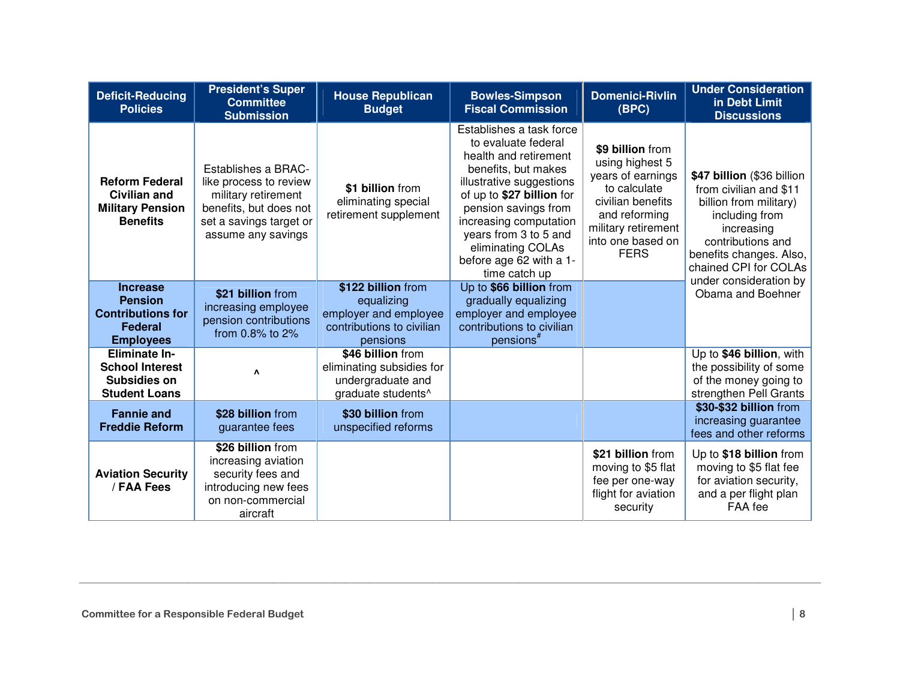| <b>Deficit-Reducing</b><br><b>Policies</b>                                                          | <b>President's Super</b><br><b>Committee</b><br><b>Submission</b>                                                                               | <b>House Republican</b><br><b>Budget</b>                                                           | <b>Bowles-Simpson</b><br><b>Fiscal Commission</b>                                                                                                                                                                                                                                                    | <b>Domenici-Rivlin</b><br>(BPC)                                                                                                                                           | <b>Under Consideration</b><br>in Debt Limit<br><b>Discussions</b>                                                                                                                                                 |
|-----------------------------------------------------------------------------------------------------|-------------------------------------------------------------------------------------------------------------------------------------------------|----------------------------------------------------------------------------------------------------|------------------------------------------------------------------------------------------------------------------------------------------------------------------------------------------------------------------------------------------------------------------------------------------------------|---------------------------------------------------------------------------------------------------------------------------------------------------------------------------|-------------------------------------------------------------------------------------------------------------------------------------------------------------------------------------------------------------------|
| <b>Reform Federal</b><br><b>Civilian and</b><br><b>Military Pension</b><br><b>Benefits</b>          | Establishes a BRAC-<br>like process to review<br>military retirement<br>benefits, but does not<br>set a savings target or<br>assume any savings | \$1 billion from<br>eliminating special<br>retirement supplement                                   | Establishes a task force<br>to evaluate federal<br>health and retirement<br>benefits, but makes<br>illustrative suggestions<br>of up to \$27 billion for<br>pension savings from<br>increasing computation<br>years from 3 to 5 and<br>eliminating COLAs<br>before age 62 with a 1-<br>time catch up | \$9 billion from<br>using highest 5<br>years of earnings<br>to calculate<br>civilian benefits<br>and reforming<br>military retirement<br>into one based on<br><b>FERS</b> | \$47 billion (\$36 billion<br>from civilian and \$11<br>billion from military)<br>including from<br>increasing<br>contributions and<br>benefits changes. Also,<br>chained CPI for COLAs<br>under consideration by |
| <b>Increase</b><br><b>Pension</b><br><b>Contributions for</b><br><b>Federal</b><br><b>Employees</b> | \$21 billion from<br>increasing employee<br>pension contributions<br>from 0.8% to 2%                                                            | \$122 billion from<br>equalizing<br>employer and employee<br>contributions to civilian<br>pensions | Up to \$66 billion from<br>gradually equalizing<br>employer and employee<br>contributions to civilian<br>pensions <sup>#</sup>                                                                                                                                                                       |                                                                                                                                                                           | Obama and Boehner                                                                                                                                                                                                 |
| <b>Eliminate In-</b><br><b>School Interest</b><br>Subsidies on<br><b>Student Loans</b>              | Λ                                                                                                                                               | \$46 billion from<br>eliminating subsidies for<br>undergraduate and<br>graduate students^          |                                                                                                                                                                                                                                                                                                      |                                                                                                                                                                           | Up to \$46 billion, with<br>the possibility of some<br>of the money going to<br>strengthen Pell Grants                                                                                                            |
| <b>Fannie and</b><br><b>Freddie Reform</b>                                                          | \$28 billion from<br>guarantee fees                                                                                                             | \$30 billion from<br>unspecified reforms                                                           |                                                                                                                                                                                                                                                                                                      |                                                                                                                                                                           | \$30-\$32 billion from<br>increasing guarantee<br>fees and other reforms                                                                                                                                          |
| <b>Aviation Security</b><br>/ FAA Fees                                                              | \$26 billion from<br>increasing aviation<br>security fees and<br>introducing new fees<br>on non-commercial<br>aircraft                          |                                                                                                    |                                                                                                                                                                                                                                                                                                      | \$21 billion from<br>moving to \$5 flat<br>fee per one-way<br>flight for aviation<br>security                                                                             | Up to \$18 billion from<br>moving to \$5 flat fee<br>for aviation security,<br>and a per flight plan<br>FAA fee                                                                                                   |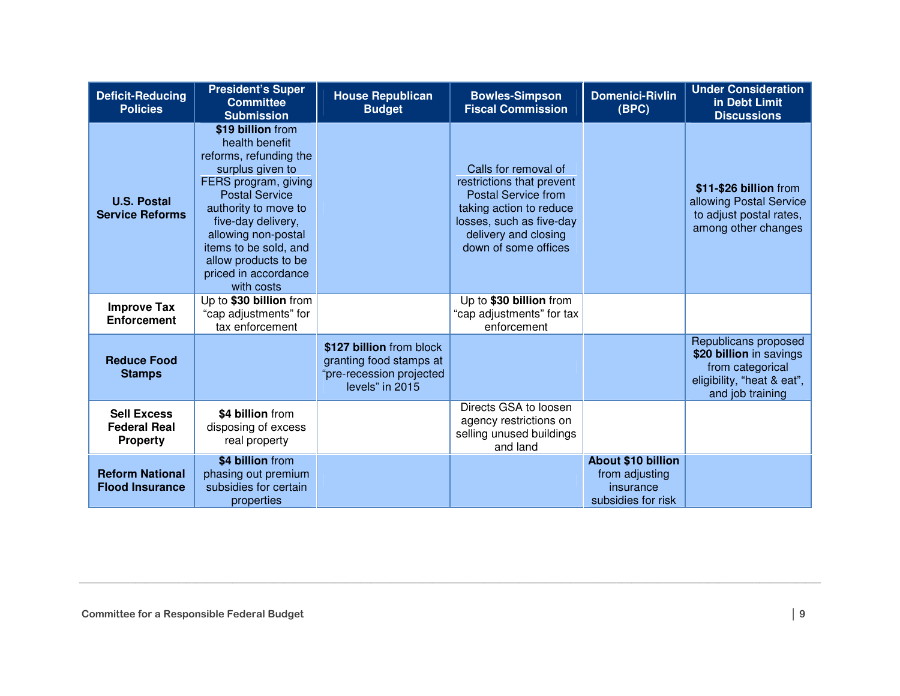| <b>Deficit-Reducing</b><br><b>Policies</b>                   | <b>President's Super</b><br><b>Committee</b><br><b>Submission</b>                                                                                                                                                                                                                              | <b>House Republican</b><br><b>Budget</b>                                                           | <b>Bowles-Simpson</b><br><b>Fiscal Commission</b>                                                                                                                                      | <b>Domenici-Rivlin</b><br>(BPC)                                                | <b>Under Consideration</b><br>in Debt Limit<br><b>Discussions</b>                                                     |
|--------------------------------------------------------------|------------------------------------------------------------------------------------------------------------------------------------------------------------------------------------------------------------------------------------------------------------------------------------------------|----------------------------------------------------------------------------------------------------|----------------------------------------------------------------------------------------------------------------------------------------------------------------------------------------|--------------------------------------------------------------------------------|-----------------------------------------------------------------------------------------------------------------------|
| <b>U.S. Postal</b><br><b>Service Reforms</b>                 | \$19 billion from<br>health benefit<br>reforms, refunding the<br>surplus given to<br>FERS program, giving<br><b>Postal Service</b><br>authority to move to<br>five-day delivery,<br>allowing non-postal<br>items to be sold, and<br>allow products to be<br>priced in accordance<br>with costs |                                                                                                    | Calls for removal of<br>restrictions that prevent<br><b>Postal Service from</b><br>taking action to reduce<br>losses, such as five-day<br>delivery and closing<br>down of some offices |                                                                                | \$11-\$26 billion from<br>allowing Postal Service<br>to adjust postal rates,<br>among other changes                   |
| <b>Improve Tax</b><br><b>Enforcement</b>                     | Up to \$30 billion from<br>"cap adjustments" for<br>tax enforcement                                                                                                                                                                                                                            |                                                                                                    | Up to \$30 billion from<br>"cap adjustments" for tax<br>enforcement                                                                                                                    |                                                                                |                                                                                                                       |
| <b>Reduce Food</b><br><b>Stamps</b>                          |                                                                                                                                                                                                                                                                                                | \$127 billion from block<br>granting food stamps at<br>"pre-recession projected<br>levels" in 2015 |                                                                                                                                                                                        |                                                                                | Republicans proposed<br>\$20 billion in savings<br>from categorical<br>eligibility, "heat & eat",<br>and job training |
| <b>Sell Excess</b><br><b>Federal Real</b><br><b>Property</b> | \$4 billion from<br>disposing of excess<br>real property                                                                                                                                                                                                                                       |                                                                                                    | Directs GSA to loosen<br>agency restrictions on<br>selling unused buildings<br>and land                                                                                                |                                                                                |                                                                                                                       |
| <b>Reform National</b><br><b>Flood Insurance</b>             | \$4 billion from<br>phasing out premium<br>subsidies for certain<br>properties                                                                                                                                                                                                                 |                                                                                                    |                                                                                                                                                                                        | <b>About \$10 billion</b><br>from adjusting<br>insurance<br>subsidies for risk |                                                                                                                       |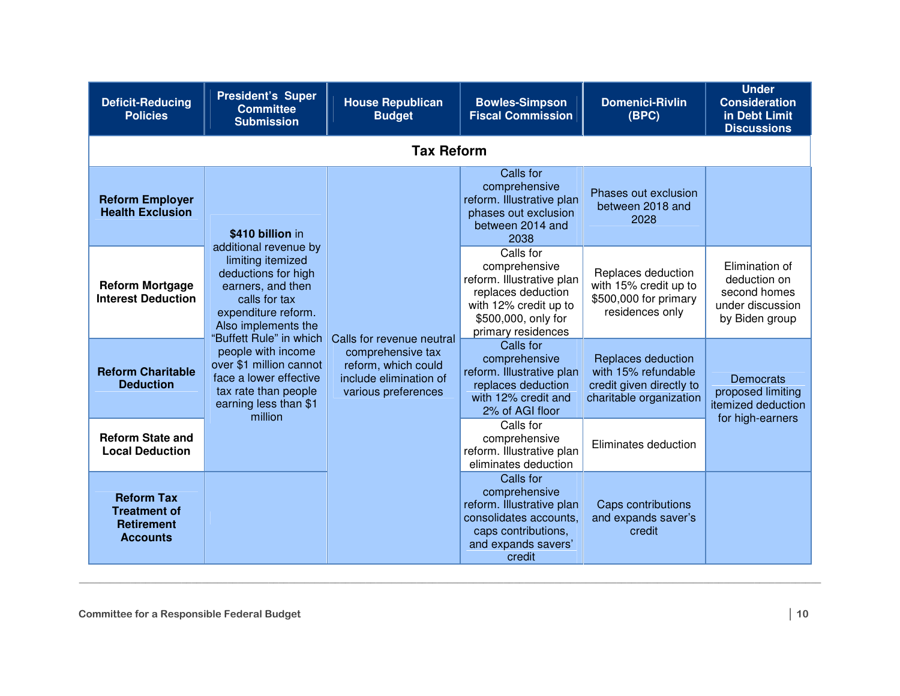| <b>Deficit-Reducing</b><br><b>Policies</b>                                       | <b>President's Super</b><br><b>Committee</b><br><b>Submission</b>                                                                                              | <b>House Republican</b><br><b>Budget</b>                                                                               | <b>Bowles-Simpson</b><br><b>Fiscal Commission</b>                                                                                                   | <b>Domenici-Rivlin</b><br>(BPC)                                                                                         | <b>Under</b><br><b>Consideration</b><br>in Debt Limit<br><b>Discussions</b>                      |
|----------------------------------------------------------------------------------|----------------------------------------------------------------------------------------------------------------------------------------------------------------|------------------------------------------------------------------------------------------------------------------------|-----------------------------------------------------------------------------------------------------------------------------------------------------|-------------------------------------------------------------------------------------------------------------------------|--------------------------------------------------------------------------------------------------|
|                                                                                  |                                                                                                                                                                | <b>Tax Reform</b>                                                                                                      |                                                                                                                                                     |                                                                                                                         |                                                                                                  |
| <b>Reform Employer</b><br><b>Health Exclusion</b>                                | \$410 billion in<br>additional revenue by                                                                                                                      |                                                                                                                        | Calls for<br>comprehensive<br>reform. Illustrative plan<br>phases out exclusion<br>between 2014 and<br>2038                                         | Phases out exclusion<br>between 2018 and<br>2028                                                                        |                                                                                                  |
| <b>Reform Mortgage</b><br><b>Interest Deduction</b>                              | limiting itemized<br>deductions for high<br>earners, and then<br>calls for tax<br>expenditure reform.<br>Also implements the                                   | Calls for revenue neutral<br>comprehensive tax<br>reform, which could<br>include elimination of<br>various preferences | Calls for<br>comprehensive<br>reform. Illustrative plan<br>replaces deduction<br>with 12% credit up to<br>\$500,000, only for<br>primary residences | Replaces deduction<br>with 15% credit up to<br>\$500,000 for primary<br>residences only                                 | Elimination of<br>deduction on<br>second homes<br>under discussion<br>by Biden group             |
| <b>Reform Charitable</b><br><b>Deduction</b>                                     | "Buffett Rule" in which<br>people with income<br>over \$1 million cannot<br>face a lower effective<br>tax rate than people<br>earning less than \$1<br>million |                                                                                                                        |                                                                                                                                                     | Calls for<br>comprehensive<br>reform. Illustrative plan<br>replaces deduction<br>with 12% credit and<br>2% of AGI floor | Replaces deduction<br>with 15% refundable<br>credit given directly to<br>charitable organization |
| <b>Reform State and</b><br><b>Local Deduction</b>                                |                                                                                                                                                                |                                                                                                                        | Calls for<br>comprehensive<br>reform. Illustrative plan<br>eliminates deduction                                                                     | Eliminates deduction                                                                                                    |                                                                                                  |
| <b>Reform Tax</b><br><b>Treatment of</b><br><b>Retirement</b><br><b>Accounts</b> |                                                                                                                                                                |                                                                                                                        | Calls for<br>comprehensive<br>reform. Illustrative plan<br>consolidates accounts.<br>caps contributions,<br>and expands savers'<br>credit           | Caps contributions<br>and expands saver's<br>credit                                                                     |                                                                                                  |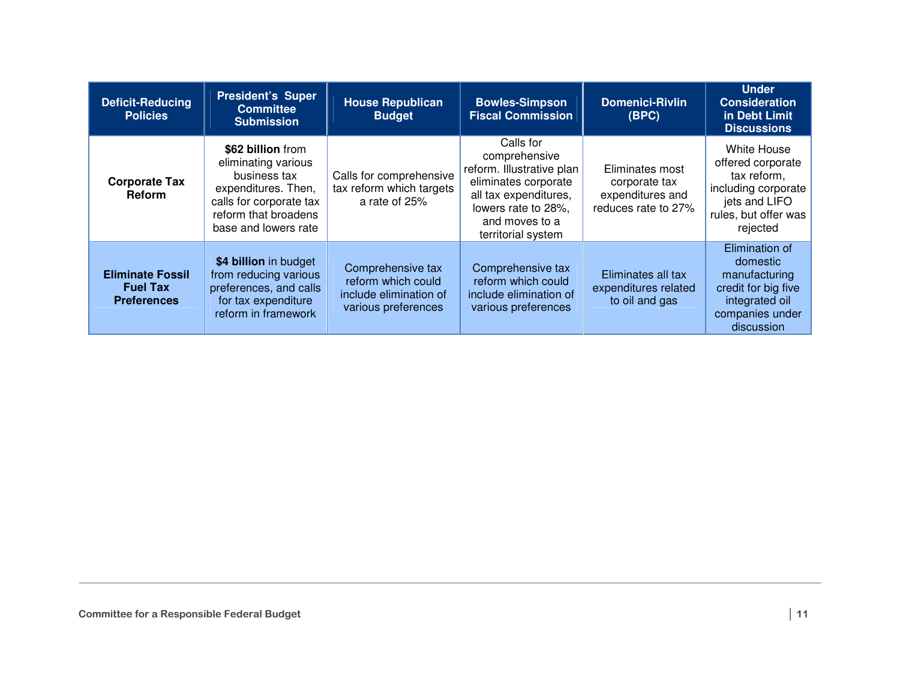| <b>Deficit-Reducing</b><br><b>Policies</b>                       | <b>President's Super</b><br><b>Committee</b><br><b>Submission</b>                                                                                          | <b>House Republican</b><br><b>Budget</b>                                                 | <b>Bowles-Simpson</b><br><b>Fiscal Commission</b>                                                                                                                       | <b>Domenici-Rivlin</b><br>(BPC)                                             | <b>Under</b><br><b>Consideration</b><br>in Debt Limit<br><b>Discussions</b>                                                 |
|------------------------------------------------------------------|------------------------------------------------------------------------------------------------------------------------------------------------------------|------------------------------------------------------------------------------------------|-------------------------------------------------------------------------------------------------------------------------------------------------------------------------|-----------------------------------------------------------------------------|-----------------------------------------------------------------------------------------------------------------------------|
| <b>Corporate Tax</b><br><b>Reform</b>                            | \$62 billion from<br>eliminating various<br>business tax<br>expenditures. Then,<br>calls for corporate tax<br>reform that broadens<br>base and lowers rate | Calls for comprehensive<br>tax reform which targets<br>a rate of 25%                     | Calls for<br>comprehensive<br>reform. Illustrative plan<br>eliminates corporate<br>all tax expenditures,<br>lowers rate to 28%.<br>and moves to a<br>territorial system | Eliminates most<br>corporate tax<br>expenditures and<br>reduces rate to 27% | White House<br>offered corporate<br>tax reform,<br>including corporate<br>jets and LIFO<br>rules, but offer was<br>rejected |
| <b>Eliminate Fossil</b><br><b>Fuel Tax</b><br><b>Preferences</b> | \$4 billion in budget<br>from reducing various<br>preferences, and calls<br>for tax expenditure<br>reform in framework                                     | Comprehensive tax<br>reform which could<br>include elimination of<br>various preferences | Comprehensive tax<br>reform which could<br>include elimination of<br>various preferences                                                                                | Eliminates all tax<br>expenditures related<br>to oil and gas                | Elimination of<br>domestic<br>manufacturing<br>credit for big five<br>integrated oil<br>companies under<br>discussion       |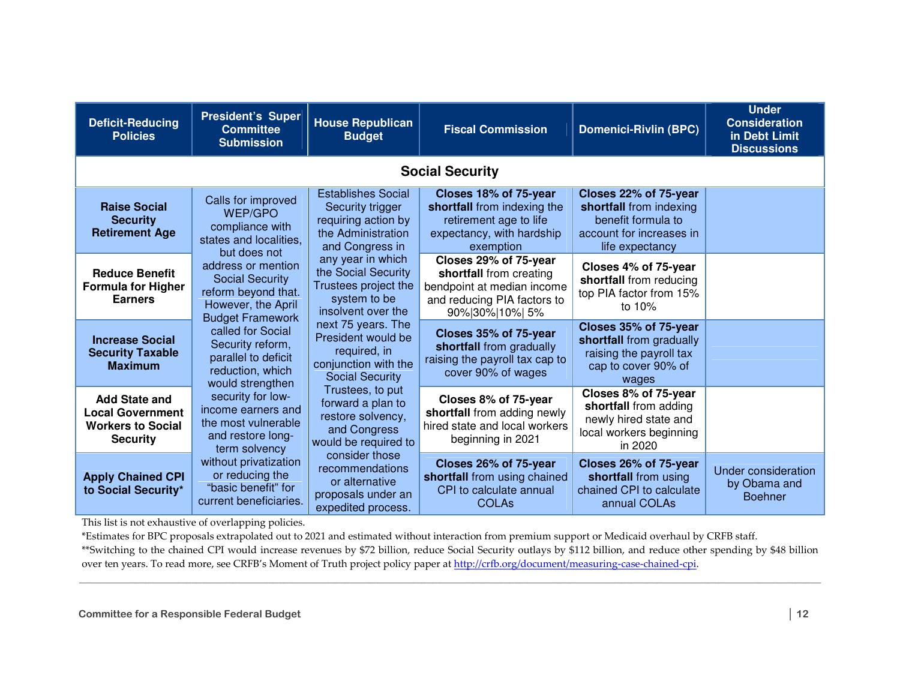| <b>Deficit-Reducing</b><br><b>Policies</b>                                                     | <b>President's Super</b><br><b>Committee</b><br><b>Submission</b>                                                                    | <b>House Republican</b><br><b>Budget</b>                                                                                                                                                                             | <b>Fiscal Commission</b>                                                                                                 | <b>Domenici-Rivlin (BPC)</b>                                                                                          | <b>Under</b><br><b>Consideration</b><br>in Debt Limit<br><b>Discussions</b>                                                      |                                                                                                           |                                                                                                              |
|------------------------------------------------------------------------------------------------|--------------------------------------------------------------------------------------------------------------------------------------|----------------------------------------------------------------------------------------------------------------------------------------------------------------------------------------------------------------------|--------------------------------------------------------------------------------------------------------------------------|-----------------------------------------------------------------------------------------------------------------------|----------------------------------------------------------------------------------------------------------------------------------|-----------------------------------------------------------------------------------------------------------|--------------------------------------------------------------------------------------------------------------|
|                                                                                                | <b>Social Security</b>                                                                                                               |                                                                                                                                                                                                                      |                                                                                                                          |                                                                                                                       |                                                                                                                                  |                                                                                                           |                                                                                                              |
| <b>Raise Social</b><br><b>Security</b><br><b>Retirement Age</b>                                | Calls for improved<br>WEP/GPO<br>compliance with<br>states and localities,                                                           | <b>Establishes Social</b><br>Security trigger<br>requiring action by<br>the Administration<br>and Congress in                                                                                                        | Closes 18% of 75-year<br>shortfall from indexing the<br>retirement age to life<br>expectancy, with hardship<br>exemption | Closes 22% of 75-year<br>shortfall from indexing<br>benefit formula to<br>account for increases in<br>life expectancy |                                                                                                                                  |                                                                                                           |                                                                                                              |
| <b>Reduce Benefit</b><br><b>Formula for Higher</b><br><b>Earners</b>                           | but does not<br>address or mention<br><b>Social Security</b><br>reform beyond that.<br>However, the April<br><b>Budget Framework</b> | any year in which<br>the Social Security<br>Trustees project the<br>system to be<br>insolvent over the<br>next 75 years. The<br>President would be<br>required, in<br>conjunction with the<br><b>Social Security</b> |                                                                                                                          |                                                                                                                       | Closes 29% of 75-year<br>shortfall from creating<br>bendpoint at median income<br>and reducing PIA factors to<br>90% 30% 10%  5% | Closes 4% of 75-year<br>shortfall from reducing<br>top PIA factor from 15%<br>to 10%                      |                                                                                                              |
| <b>Increase Social</b><br><b>Security Taxable</b><br><b>Maximum</b>                            | called for Social<br>Security reform,<br>parallel to deficit<br>reduction, which<br>would strengthen                                 |                                                                                                                                                                                                                      |                                                                                                                          |                                                                                                                       |                                                                                                                                  | Closes 35% of 75-year<br>shortfall from gradually<br>raising the payroll tax cap to<br>cover 90% of wages | Closes 35% of 75-year<br>shortfall from gradually<br>raising the payroll tax<br>cap to cover 90% of<br>wages |
| <b>Add State and</b><br><b>Local Government</b><br><b>Workers to Social</b><br><b>Security</b> | security for low-<br>income earners and<br>the most vulnerable<br>and restore long-<br>term solvency                                 | Trustees, to put<br>forward a plan to<br>restore solvency,<br>and Congress<br>would be required to                                                                                                                   | Closes 8% of 75-year<br>shortfall from adding newly<br>hired state and local workers<br>beginning in 2021                | Closes 8% of 75-year<br>shortfall from adding<br>newly hired state and<br>local workers beginning<br>in 2020          |                                                                                                                                  |                                                                                                           |                                                                                                              |
| <b>Apply Chained CPI</b><br>to Social Security*                                                | without privatization<br>or reducing the<br>"basic benefit" for<br>current beneficiaries.                                            | consider those<br>recommendations<br>or alternative<br>proposals under an<br>expedited process.                                                                                                                      | Closes 26% of 75-year<br>shortfall from using chained<br>CPI to calculate annual<br><b>COLAs</b>                         | Closes 26% of 75-year<br>shortfall from using<br>chained CPI to calculate<br>annual COLAs                             | Under consideration<br>by Obama and<br><b>Boehner</b>                                                                            |                                                                                                           |                                                                                                              |

This list is not exhaustive of overlapping policies.

\*Estimates for BPC proposals extrapolated out to 2021 and estimated without interaction from premium support or Medicaid overhaul by CRFB staff.

\*\*Switching to the chained CPI would increase revenues by \$72 billion, reduce Social Security outlays by \$112 billion, and reduce other spending by \$48 billion over ten years. To read more, see CRFB's Moment of Truth project policy paper at http://crfb.org/document/measuring-case-chained-cpi.